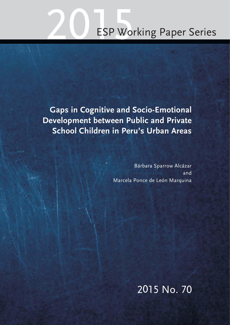# ESP Working Paper Series

**Gaps in Cognitive and Socio-Emotional Development between Public and Private School Children in Peru's Urban Areas**

> Bárbara Sparrow Alcázar and Marcela Ponce de León Marquina

> > 2015 No. 70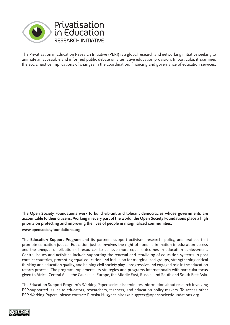

The Privatisation in Education Research Initiative (PERI) is a global research and networking initiative seeking to animate an accessible and informed public debate on alternative education provision. In particular, it examines the social justice implications of changes in the coordination, financing and governance of education services.

**The Open Society Foundations work to build vibrant and tolerant democracies whose governments are accountable to their citizens. Working in every part of the world, the Open Society Foundations place a high priority on protecting and improving the lives of people in marginalized communities. www.opensocietyfoundations.org**

**The Education Support Program** and its partners support activism, research, policy, and pratices that promote education justice. Education justice involves the right of nondiscrimination in education access and the unequal distribution of resources to achieve more equal outcomes in education achievement. Central issues and activities include supporting the renewal and rebuilding of education systems in post conflict countries, promoting equal education and inclusion for marginalized groups, strengthening critical thinking and education quality, and helping civil society play a progressive and engaged role in the education reform process. The program implements its strategies and programs internationally with particular focus given to Africa, Central Asia, the Caucasus, Europe, the Middle East, Russia, and South and South East Asia.

The Education Support Program's Working Paper series disseminates information about research involving ESP-supported issues to educators, researchers, teachers, and education policy makers. To access other ESP Working Papers, please contact: Piroska Hugyecz piroska.hugyecz@opensocietyfoundations.org

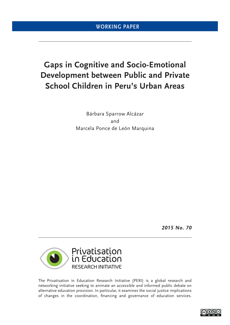# **Gaps in Cognitive and Socio-Emotional Development between Public and Private School Children in Peru's Urban Areas**

Bárbara Sparrow Alcázar and Marcela Ponce de León Marquina

*2015 No. 70*



The Privatisation in Education Research Initiative (PERI) is a global research and networking initiative seeking to animate an accessible and informed public debate on alternative education provision. In particular, it examines the social justice implications of changes in the coordination, financing and governance of education services.

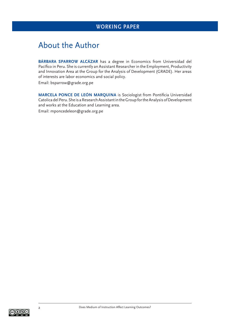# About the Author

**BÁRBARA SPARROW ALCÁZAR** has a degree in Economics from Universidad del Pacífico in Peru. She is currently an Assistant Researcher in the Employment, Productivity and Innovation Area at the Group for the Analysis of Development (GRADE). Her areas of interests are labor economics and social policy.

Email: bsparrow@grade.org.pe

**MARCELA PONCE DE LEÓN MARQUINA** is Sociologist from Pontificia Universidad Catolica del Peru. She is a Research Assistant in the Group for the Analysis of Development and works at the Education and Learning area.

Email: mponcedeleon@grade.org.pe

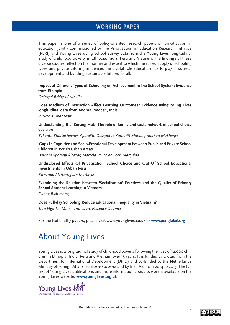This paper is one of a series of policy-oriented research papers on privatisation in education jointly commissioned by the Privatisation in Education Research Initiative (PERI) and Young Lives using school survey data from the Young Lives longitudinal study of childhood poverty in Ethiopia, India, Peru and Vietnam. The findings of these diverse studies reflect on the manner and extent to which the varied supply of schooling types and private tutoring influences the pivotal role education has to play in societal development and building sustainable futures for all.

**Impact of Different Types of Schooling on Achievement in the School System: Evidence from Ethiopia**

*Obiageri Bridget Azubuike*

**Does Medium of Instruction Affect Learning Outcomes? Evidence using Young Lives longitudinal data from Andhra Pradesh, India**

*P. Sree Kumar Nair*

**Understanding the 'Sorting Hat:' The role of family and caste network in school choice decision**

*Sukanta Bhattacharyay, Aparajita Dasguptaz Kumarjit Mandal, Anirban Mukherjee*

**Gaps in Cognitive and Socio-Emotional Development between Public and Private School Children in Peru's Urban Areas**

*Bárbara Sparrow Alcázar, Marcela Ponce de León Marquina*

**Undisclosed Effects Of Privatisation: School Choice and Out Of School Educational Investments In Urban Peru**

*Fernando Alarcón, Joan Martínez*

**Examining the Relation between 'Socialisation' Practices and the Quality of Primary School Student Learning In Vietnam**

*Duong Bich Hang*

**Does Full-day Schooling Reduce Educational Inequality in Vietnam?** *Tran Ngo Thi Minh Tam, Laure Pasquier-Doumer*

For the text of all 7 papers, please visit www.younglives.co.uk or **www.periglobal.org**

# About Young Lives

Young Lives is a longitudinal study of childhood poverty following the lives of 12,000 children in Ethiopia, India, Peru and Vietnam over 15 years. It is funded by UK aid from the Department for International Development (DFID) and co-funded by the Netherlands Ministry of Foreign Affairs from 2010 to 2014 and by Irish Aid from 2014 to 2015. The full text of Young Lives publications and more information about its work is available on the Young Lives website: **www.younglives.org.uk**

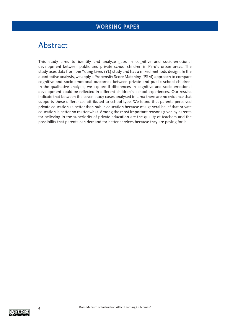# Abstract

This study aims to identify and analyze gaps in cognitive and socio-emotional development between public and private school children in Peru's urban areas. The study uses data from the Young Lives (YL) study and has a mixed methods design. In the quantitative analysis, we apply a Propensity Score Matching (PSM) approach to compare cognitive and socio-emotional outcomes between private and public school children. In the qualitative analysis, we explore if differences in cognitive and socio-emotional development could be reflected in different children's school experiences. Our results indicate that between the seven study cases analysed in Lima there are no evidence that supports these differences attributed to school type. We found that parents perceived private education as better than public education because of a general belief that private education is better no matter what. Among the most important reasons given by parents for believing in the superiority of private education are the quality of teachers and the possibility that parents can demand for better services because they are paying for it.

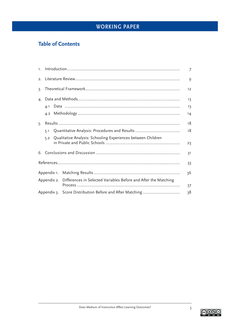## **Table of Contents**

| 1.                                                                          |     |  |                                                              |    |  |
|-----------------------------------------------------------------------------|-----|--|--------------------------------------------------------------|----|--|
|                                                                             |     |  |                                                              | 9  |  |
| 3.                                                                          |     |  |                                                              | 12 |  |
| $\mathbf{4}$                                                                |     |  |                                                              | 13 |  |
|                                                                             | 4.1 |  |                                                              | 13 |  |
|                                                                             | 4.2 |  |                                                              | 14 |  |
| 5.                                                                          |     |  |                                                              | 18 |  |
|                                                                             | 5.1 |  |                                                              | 18 |  |
|                                                                             | 5.2 |  | Qualitative Analysis: Schooling Experiences between Children | 23 |  |
|                                                                             |     |  |                                                              | 31 |  |
|                                                                             |     |  |                                                              | 33 |  |
|                                                                             |     |  |                                                              | 36 |  |
| Appendix 2. Differences in Selected Variables Before and After the Matching |     |  | 37                                                           |    |  |
|                                                                             |     |  |                                                              | 38 |  |

$$
\bigcirc \mathbb{Q} \oplus \mathbb{Q}
$$

 $\overline{5}$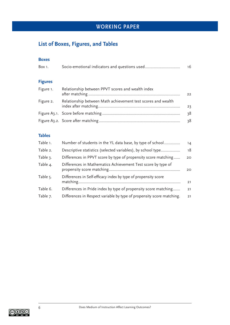## **List of Boxes, Figures, and Tables**

#### **Boxes**

| Box 1.         | Socio-emotional indicators and questions used                | 16 |
|----------------|--------------------------------------------------------------|----|
| <b>Figures</b> |                                                              |    |
| Figure 1.      | Relationship between PPVT scores and wealth index            | 22 |
| Figure 2.      | Relationship between Math achievement test scores and wealth | 23 |
|                |                                                              | 38 |
|                |                                                              | 38 |

## **Tables**

| Table 1. | Number of students in the YL data base, by type of school             | 14 |
|----------|-----------------------------------------------------------------------|----|
| Table 2. | Descriptive statistics (selected variables), by school type           | 18 |
| Table 3. | Differences in PPVT score by type of propensity score matching        | 20 |
| Table 4. | Differences in Mathematics Achievement Test score by type of          | 20 |
| Table 5. | Differences in Self-efficacy index by type of propensity score        | 21 |
| Table 6. | Differences in Pride index by type of propensity score matching       | 21 |
| Table 7. | Differences in Respect variable by type of propensity score matching. | 21 |

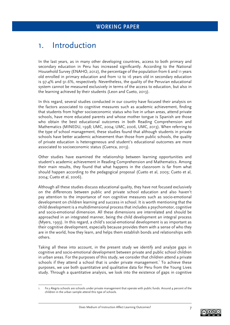# 1. Introduction

In the last years, as in many other developing countries, access to both primary and secondary education in Peru has increased significantly. According to the National Household Survey (ENAHO, 2012), the percentage of the population from 6 and 11 years old enrolled in primary education and from 12 to 16 years old in secondary education is 97.4% and 91.6%, respectively. Nevertheless, the quality of the Peruvian educational system cannot be measured exclusively in terms of the access to education, but also in the learning achieved by their students (Leon and Cueto, 2013).

In this regard, several studies conducted in our country have focused their analysis on the factors associated to cognitive measures such as academic achievement, finding that students from higher socioeconomic status who live in urban areas, attend private schools, have more educated parents and whose mother tongue is Spanish are those who obtain the best educational outcomes in both Reading Comprehension and Mathematics (MINEDU, 1998; UMC, 2004; UMC, 2006, UMC, 2013). When referring to the type of school management, these studies found that although students in private schools have better academic achievement than those from public schools, the quality of private education is heterogeneous and student's educational outcomes are more associated to socioeconomic status (Cuenca, 2013).

Other studies have examined the relationship between learning opportunities and student's academic achievement in Reading Comprehension and Mathematics. Among their main results, they found that what happens in the classroom is far from what should happen according to the pedagogical proposal (Cueto et al, 2003; Cueto et al, 2004; Cueto et al, 2006).

Although all these studies discuss educational quality, they have not focused exclusively on the differences between public and private school education and also haven't pay attention to the importance of non cognitive measures such as socio-emotional development on children learning and success in school. It is worth mentioning that the child development is a multidimensional process that includes a psychomotor, cognitive and socio-emotional dimension. All these dimensions are interrelated and should be approached in an integrated manner, being the child development an integral process (Myers, 1993). In this regard, a child's social-emotional development is as important as their cognitive development, especially because provides them with a sense of who they are in the world, how they learn, and helps them establish bonds and relationships with others.

Taking all these into account, in the present study we identify and analyze gaps in cognitive and socio-emotional development between private and public school children in urban areas. For the purposes of this study, we consider that children attend a private schools if they attend a school that is under private management.<sup>1</sup> To achieve these purposes, we use both quantitative and qualitative data for Peru from the Young Lives study. Through a quantitative analysis, we look into the existence of gaps in cognitive

Fe y Alegría schools are schools under private management that operate with public funds. Around 4 percent of the children in the urban sample attend this type of schools.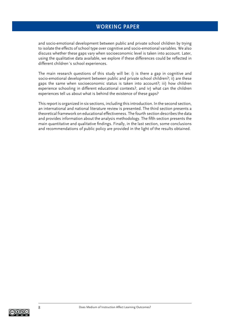and socio-emotional development between public and private school children by trying to isolate the effects of school type over cognitive and socio-emotional variables. We also discuss whether these gaps vary when socioeconomic level is taken into account. Later, using the qualitative data available, we explore if these differences could be reflected in different children´s school experiences.

The main research questions of this study will be: i) is there a gap in cognitive and socio-emotional development between public and private school children?; ii) are these gaps the same when socioeconomic status is taken into account?; iii) how children experience schooling in different educational contexts?, and iv) what can the children experiences tell us about what is behind the existence of these gaps?

This report is organized in six sections, including this introduction. In the second section, an international and national literature review is presented. The third section presents a theoretical framework on educational effectiveness. The fourth section describes the data and provides information about the analysis methodology. The fifth section presents the main quantitative and qualitative findings. Finally, in the last section, some conclusions and recommendations of public policy are provided in the light of the results obtained.

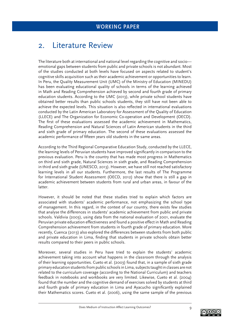# 2. Literature Review

The literature both at international and national level regarding the cognitive and socio emotional gaps between students from public and private schools is not abundant. Most of the studies conducted at both levels have focused on aspects related to student's cognitive skills acquisition such as their academic achievement or opportunities to learn. In Peru, the Quality Measurement Unit (UMC) of the Ministry of Education (MINEDU) has been evaluating educational quality of schools in terms of the learning achieved in Math and Reading Comprehension achieved by second and fourth grade of primary education students. According to the UMC (2013), while private school students have obtained better results than public schools students, they still have not been able to achieve the expected levels. This situation is also reflected in international evaluations conducted by the Latin American Laboratory for Assessment of the Quality of Education (LLECE) and The Organization for Economic Co-operation and Development (OECD). The first of these evaluations assessed the academic achievement in Mathematics, Reading Comprehension and Natural Sciences of Latin American students in the third and sixth grade of primary education. The second of these evaluations assessed the academic performance of fifteen years old students in the same areas.

According to the Third Regional Comparative Education Study, conducted by the LLECE, the learning levels of Peruvian students have improved significantly in comparison to the previous evaluation. Peru is the country that has made most progress in Mathematics on third and sixth grade, Natural Sciences in sixth grade, and Reading Comprehension in third and sixth grade (UNESCO, 2013). However, we have still not reached satisfactory learning levels in all our students. Furthermore, the last results of The Programme for International Student Assessment (OECD, 2012) show that there is still a gap in academic achievement between students from rural and urban areas, in favour of the latter.

However, it should be noted that these studies tried to explain which factors are associated with students' academic performance, not emphasizing the school type of management. In this regard, in the context of our country, there exists few studies that analyse the differences in students' academic achievement from public and private schools. Valdivia (2003), using data from the national evaluation of 2001, evaluate the Peruvian private education effectiveness and found a positive effect in Math and Reading Comprehension achievement from students in fourth grade of primary education. More recently, Cuenca (2013) also explored the differences between students from both public and private education in Lima, finding that students in private schools obtain better results compared to their peers in public schools.

Moreover, several studies in Peru have tried to explain the students' academic achievement taking into account what happens in the classroom through the analysis of their learning opportunities. Cueto et al. (2003) found that, in a sample of sixth grade primary education students from public schools in Lima, subjects taught in classes are not related to the curriculum coverage (according to the National Curriculum) and teachers feedback in notebooks and workbooks are very limited. Likewise, Cueto et al. (2004) found that the number and the cognitive demand of exercises solved by students at third and fourth grade of primary education in Lima and Ayacucho significantly explained their Mathematics scores. Cueto et al. (2006), using the same sample of the previous

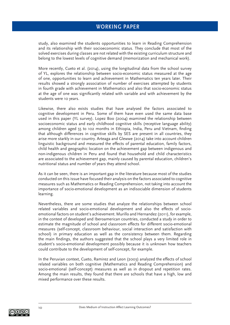study, also examined the students opportunities to learn in Reading Comprehension and its relationship with their socioeconomic status. They conclude that most of the solved exercises during classes are not related with the existing curriculum structure and belong to the lowest levels of cognitive demand (memorization and mechanical work).

More recently, Cueto et al. (2014), using the longitudinal data from the school survey of YL, explores the relationship between socio-economic status measured at the age of one, opportunities to learn and achievement in Mathematics ten years later. Their results showed a strongly association of number of exercises attempted by students in fourth grade with achievement in Mathematics and also that socio-economic status at the age of one was significantly related with variable and with achievement by the students were 10 years.

Likewise, there also exists studies that have analysed the factors associated to cognitive development in Peru. Some of them have even used the same data base used in this paper (YL survey). Lopez Boo (2004) examined the relationship between socioeconomic status and early childhood cognitive skills (receptive language ability) among children aged 55 to 102 months in Ethiopia, India, Peru and Vietnam, finding that although differences in cognitive skills by SES are present in all countries, they arise more starkly in our country. Arteaga and Glewwe (2014) take into account children linguistic background and measured the effects of parental education, family factors, child health and geographic location on the achievement gap between indigenous and non-indigenous children in Peru and found that household and child characteristics are associated to the achievement gap, mainly caused by parental education, children's nutritional status and number of years they attend school.

As it can be seen, there is an important gap in the literature because most of the studies conducted on this issue have focused their analysis on the factors associated to cognitive measures such as Mathematics or Reading Comprehension, not taking into account the importance of socio-emotional development as an indisociable dimension of students learning.

Nevertheless, there are some studies that analyze the relationships between school related variables and socio-emotional development and also the effects of socioemotional factors on student's achievement. Murillo and Hernandez (2011), for example, in the context of developed and Iberoamerican countries, conducted a study in order to estimate the magnitude of school and classroom effects for different socio-emotional measures (self-concept, classroom behaviour, social interaction and satisfaction with school) in primary education as well as the consistency between them. Regarding the main findings, the authors suggested that the school plays a very limited role in student's socio-emotional development possibly because it is unknown how teachers could contribute to the development of self-concept, for example.

In the Peruvian context, Cueto, Ramirez and Leon (2003) analyzed the effects of school related variables on both cognitive (Mathematics and Reading Comprehension) and socio-emotional (self-concept) measures as well as in dropout and repetition rates. Among the main results, they found that there are schools that have a high, low and mixed performance over these results.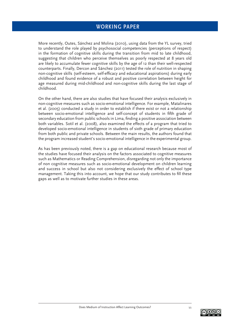More recently, Outes, Sánchez and Molina (2010), using data from the YL survey, tried to understand the role played by psychosocial competencies (perceptions of respect) in the formation of cognitive skills during the transition from mid to late childhood, suggesting that children who perceive themselves as poorly respected at 8 years old are likely to accumulate fewer cognitive skills by the age of 12 than their well-respected counterparts. Finally, Dercon and Sánchez (2011) tested the role of nutrition in shaping non-cognitive skills (self-esteem, self-efficacy and educational aspirations) during early childhood and found evidence of a robust and positive correlation between height for age measured during mid-childhood and non-cognitive skills during the last stage of childhood.

On the other hand, there are also studies that have focused their analysis exclusively in non-cognitive measures such as socio-emotional intelligence. For example, Matalinares et al. (2005) conducted a study in order to establish if there exist or not a relationship between socio-emotional intelligence and self-concept of students in fifth grade of secondary education from public schools in Lima, finding a positive association between both variables. Sotil et al. (2008), also examined the effects of a program that tried to developed socio-emotional intelligence in students of sixth grade of primary education from both public and private schools. Between the main results, the authors found that the program increased student's socio-emotional intelligence in the experimental group.

As has been previously noted, there is a gap on educational research because most of the studies have focused their analysis on the factors associated to cognitive measures such as Mathematics or Reading Comprehension, disregarding not only the importance of non cognitive measures such as socio-emotional development on children learning and success in school but also not considering exclusively the effect of school type management. Taking this into account, we hope that our study contributes to fill these gaps as well as to motivate further studies in these areas.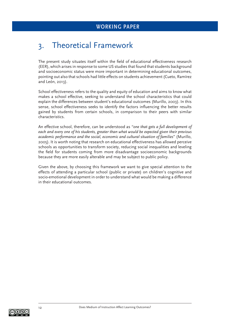# 3. Theoretical Framework

The present study situates itself within the field of educational effectiveness research (EER), which arises in response to some US studies that found that students background and socioeconomic status were more important in determining educational outcomes, pointing out also that schools had little effects on students achievement (Cueto, Ramírez and León, 2013).

School effectiveness refers to the quality and equity of education and aims to know what makes a school effective, seeking to understand the school characteristics that could explain the differences between student's educational outcomes (Murillo, 2003). In this sense, school effectiveness seeks to identify the factors influencing the better results gained by students from certain schools, in comparison to their peers with similar characteristics.

An effective school, therefore, can be understood as *"one that gets a full development of each and every one of his students, greater than what would be expected given their previous academic performance and the social, economic and cultural situation of families*" (Murillo, 2005). It is worth noting that research on educational effectiveness has allowed perceive schools as opportunities to transform society, reducing social inequalities and leveling the field for students coming from more disadvantage socioeconomic backgrounds because they are more easily alterable and may be subject to public policy.

Given the above, by choosing this framework we want to give special attention to the effects of attending a particular school (public or private) on children's cognitive and socio-emotional development in order to understand what would be making a difference in their educational outcomes.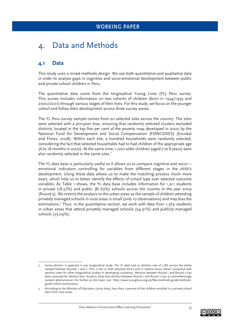# 4. Data and Methods

## **4.1 Data**

This study uses a mixed methods design. We use both quantitative and qualitative data in order to analyze gaps in cognitive and socio-emotional development between public and private school children in Peru.

The quantitative data come from the longitudinal Young Lives (YL) Peru survey. This survey includes information on two cohorts of children (born in 1994/1995 and 2000/2001) through various stages of their lives. For this study, we focus on the younger cohort and follow their development across three survey waves.

The YL Peru survey sample comes from 20 selected sites across the country. The sites were selected with a pro-poor bias, ensuring that randomly selected clusters excluded districts located in the top five per cent of the poverty map developed in 2000 by the National Fund for Development and Social Compensation (FONCODES) (Escobal and Flores, 2008). Within each site, a hundred households were randomly selected, considering the fact that selected households had to had children of the appropriate age (6 to 18 months in 2002). At the same time, 1,000 older children (aged 7 to 8 years) were also randomly selected in the same sites.<sup>2</sup>

The YL data base is particularly useful as it allows us to compare cognitive and socio emotional indicators controlling for variables from different stages in the child's development. Using these data allows us to make the matching process much more exact, which help us to better identify the effects of school type over selected outcome variables. As Table 1 shows, the YL data base includes information for 1,911 students in private (18.37%) and public (81.63%) schools across the country in the year 2009 (Round 3). We restrict the analysis to the urban areas as the sample of children attending privately managed schools in rural areas is small (only 10 observations) and may bias the estimations.<sup>3</sup> Thus, in the quantitative section, we work with data from 1,369 students in urban areas that attend privately managed schools (24.91%) and publicly managed schools (75.09%).



<sup>2.</sup> Some attrition is expected in any longitudinal study. The YL data had an attrition rate of 2.8% across the whole sample between Rounds 1 and 3. This is low in both absolute terms and in relative terms (when compared with attrition rates for other longitudinal studies in developing countries). Attrition between Round 1 and Round 2 has been assessed for attrition bias. Analysis show that attrition between Round 1 and Round 2 was an overwhelmingly random phenomenon. For further on this topic, see: http://www.younglives.org.uk/files/methods-guide/methodsguide-cohort-mainenance.

<sup>3.</sup> According to the Ministry of Education (2009 data), less than 2 percent of the children enrolled in a private school were from rural areas.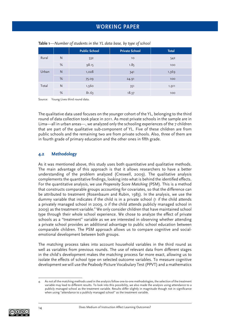|       |   | <b>Public School</b> | <b>Private School</b> | <b>Total</b> |
|-------|---|----------------------|-----------------------|--------------|
| Rural | N | 532                  | 10                    | 542          |
|       | % | 98.15                | 1.85                  | 100          |
| Urban | N | 1,028                | 341                   | 1,369        |
|       | % | 75.09                | 24.91                 | 100          |
| Total | N | 1,560                | 351                   | 1,911        |
|       | % | 81.63                | 18.37                 | 100          |

**Table 1***—Number of students in the YL data base, by type of school*

Source: Young Lives third round data.

The qualitative data used focuses on the younger cohort of the YL, belonging to the third round of data collection took place in 2011. As most private schools in the sample are in Lima—all in urban areas—, we analyzed only the schooling experiences of the 7 children that are part of the qualitative sub-component of YL. Five of these children are from public schools and the remaining two are from private schools. Also, three of them are in fourth grade of primary education and the other ones in fifth grade.

#### **4.2 Methodology**

As it was mentioned above, this study uses both quantitative and qualitative methods. The main advantage of this approach is that it allows researchers to have a better understanding of the problem analyzed (Creswell, 2009). The qualitative analysis complements the quantitative findings, looking into what is behind the identified effects. For the quantitative analysis, we use *Propensity Score Matching* (PSM). This is a method that constructs comparable groups accounting for covariates, so that the difference can be attributed to treatment (Rosenbaum and Rubin, 1983). In the analysis, we use the dummy variable that indicates if the child is in a private school (1 if the child attends a privately managed school in 2009, 0 if the child attends publicly managed school in 2009) as the treatment variable.<sup>4</sup> We only consider children that have maintained school type through their whole school experience. We chose to analyze the effect of private schools as a "treatment" variable as we are interested in observing whether attending a private school provides an additional advantage to public school education between comparable children. The PSM approach allows us to compare cognitive and socialemotional development between both groups.

The matching process takes into account household variables in the third round as well as variables from previous rounds. The use of relevant data from different stages in the child's development makes the matching process far more exact, allowing us to isolate the effects of school type on selected outcome variables. To measure cognitive development we will use the Peabody Picture Vocabulary Test (PPVT) and a mathematics

<sup>4.</sup> As not all the matching methods used in the analysis follow one-to-one methodologies, the selection of the treatment variable may lead to different results. To look into this possibility, we also made the analysis using attendance to a publicly managed school as the treatment variable. Results differ slightly in magnitude though not in significance when using "attendance to a publicly managed school" as the treatment variable.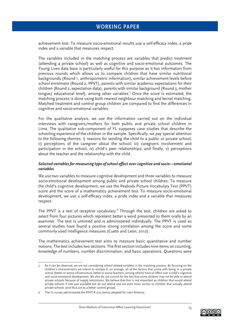achievement test. To measure socio-emotional results use a self-efficacy index, a pride index and a variable that measures respect.

The variables included in the matching process are variables that predict treatment (attending a private school) as well as cognitive and socio-emotional outcomes. The Young Lives data base is particularly useful for this purpose as it has information from previous rounds which allows us to compare children that have similar nutritional backgrounds (Round 1, anthropometric information), similar achievement levels before school enrolment (Round 2, PPVT), parents with similar academic expectations for their children (Round 2, expectation data), parents with similar background (Round 3, mother tongue/ educational level), among other variables.<sup>5</sup> Once the score is estimated, the matching process is done using both nearest neighbour matching and kernel matching. Matched treatment and control group children are compared to find the differences in cognitive and socio-emotional variables.

For the qualitative analysis, we use the information carried out on the individual interviews with caregivers/mothers for both public and private school children in Lima. The qualitative sub-component of YL supposes case studies that describe the schooling experience of the children in the sample. Specifically, we pay special attention to the following themes: i) reasons for sending the child to a public or private school; ii) perceptions of the caregiver about the school; iii) caregivers involvement and participation in the school; iv) child's peer relationships; and finally, v) perceptions about the teacher and the relationship with the child.

#### *Selected variables for measuring type of school effect over cognitive and socio—emotional variables*

We use two variables to measure cognitive development and three variables to measure socio-emotional development among public and private school children. To measure the child's cognitive development, we use the Peabody Picture Vocabulary Test (PPVT) score and the score of a mathematics achievement test. To measure socio-emotional development, we use a self-efficacy index, a pride index and a variable that measures respect.

The PPVT is a test of receptive vocabulary. $^6$  Through the test, children are asked to select from four pictures which represent better a word presented to them orally by an examiner. The test is untimed and is administered individually. The PPVT is used as several studies have found a positive strong correlation among the score and some commonly used intelligence measures (Cueto and León, 2012).

The mathematics achievement test aims to measure basic quantitative and number notions. The test includes two sections. The first section includes nine items on counting, knowledge of numbers, number discrimination, and basic operations. Questions were

<sup>5.</sup> As it can be observed, we are not considering school related variables in the matching process. By focusing on the children's characteristics we intend to analyze if, on average, all of the factors that come with being in a private school (better or worse infrastructure, better or worse teachers, among others) have an effect over a child's cognitive and socio-emotional development. We also do not control for the fact that some children may not be able to attend private schools because of supply restrictions. We believe that this is not important as children that would attend private schools if one was available but do not attend one are even more similar to children that actually attend private schools (and thus act as a better control group).

<sup>6.</sup> The YL survey administered the PPVT-R (125 items) adapted for Latin America.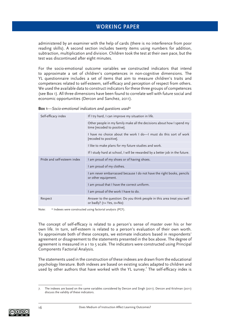administered by an examiner with the help of cards (there is no interference from poor reading skills). A second section includes twenty items using numbers for addition, subtraction, multiplication and division. Children took the test at their own pace, but the test was discontinued after eight minutes.

For the socio-emotional outcome variables we constructed indicators that intend to approximate a set of children's competences in non-cognitive dimensions. The YL questionnaire includes a set of items that aim to measure children's traits and competences related to self-esteem, self-efficacy and perception of respect from others. We used the available data to construct indicators for these three groups of competences (see Box 1). All three dimensions have been found to correlate well with future social and economic opportunities (Dercon and Sanchez, 2011).

| Self-efficacy index         | If I try hard, I can improve my situation in life.                                                       |
|-----------------------------|----------------------------------------------------------------------------------------------------------|
|                             | Other people in my family make all the decisions about how I spend my<br>time [recoded to positive].     |
|                             | I have no choice about the work I do-I must do this sort of work<br>[recoded to positive].               |
|                             | I like to make plans for my future studies and work.                                                     |
|                             | If I study hard at school, I will be rewarded by a better job in the future.                             |
| Pride and self-esteem index | I am proud of my shoes or of having shoes.                                                               |
|                             | I am proud of my clothes.                                                                                |
|                             | I am never embarrassed because I do not have the right books, pencils<br>or other equipment.             |
|                             | I am proud that I have the correct uniform.                                                              |
|                             | I am proud of the work I have to do.                                                                     |
| Respect                     | Answer to the question: Do you think people in this area treat you well<br>or badly? $(1 = Yes, 0 = No)$ |

**Box 1***—Socio-emotional indicators and questions used\**

Note: \* Indexes were constructed using factorial analysis (PCF).

The concept of self-efficacy is related to a person's sense of master over his or her own life. In turn, self-esteem is related to a person's evaluation of their own worth. To approximate both of these concepts, we estimate indicators based in respondents' agreement or disagreement to the statements presented in the box above. The degree of agreement is measured in a 1 to 5 scale. The indicators were constructed using Principal Components Factorial Analysis.

The statements used in the construction of these indexes are drawn from the educational psychology literature. Both indexes are based on existing scales adapted to children and used by other authors that have worked with the YL survey.<sup>7</sup> The self-efficacy index is

<sup>7.</sup> The indexes are based on the same variables considered by Dercon and Singh (2011). Dercon and Krishnan (2011) discuss the validity of these indicators.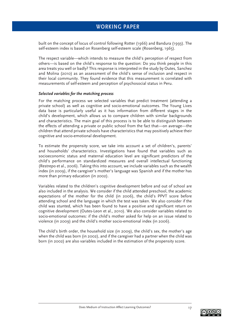built on the concept of locus of control following Rotter (1966) and Bandura (1993). The self-esteem index is based on Rosenberg self-esteem scale (Rosenberg, 1965).

The respect variable—which intends to measure the child's perception of respect from others—is based on the child's response to the question: Do you think people in this area treats you well or badly? This response is interpreted in the study by Outes, Sanchez and Molina (2010) as an assessment of the child's sense of inclusion and respect in their local community. They found evidence that this measurement is correlated with measurements of self-esteem and perception of psychosocial status in Peru.

#### *Selected variables for the matching process*

For the matching process we selected variables that predict treatment (attending a private school) as well as cognitive and socio-emotional outcomes. The Young Lives data base is particularly useful as it has information from different stages in the child's development, which allows us to compare children with similar backgrounds and characteristics. The main goal of this process is to be able to distinguish between the effects of attending a private or public school from the fact that—on average—the children that attend private schools have characteristics that may positively achieve their cognitive and socio-emotional development.

To estimate the propensity score, we take into account a set of children's, parents' and households' characteristics. Investigations have found that variables such as socioeconomic status and maternal education level are significant predictors of the child's performance on standardized measures and overall intellectual functioning (Restrepo et al., 2006). Taking this into account, we include variables such as the wealth index (in 2009), if the caregiver's mother's language was Spanish and if the mother has more than primary education (in 2002).

Variables related to the children's cognitive development before and out of school are also included in the analysis. We consider if the child attended preschool, the academic expectations of the mother for the child (in 2006), the child's PPVT score before attending school and the language in which the test was taken. We also consider if the child was stunted, which has been found to have a positive and significant return on cognitive development (Outes-Leon et al., 2010). We also consider variables related to socio-emotional outcomes: if the child's mother asked for help on an issue related to violence (in 2009) and the child's mother socio-emotional index (in 2006).

The child's birth order, the household size (in 2009), the child's sex, the mother's age when the child was born (in 2002), and if the caregiver had a partner when the child was born (in 2002) are also variables included in the estimation of the propensity score.

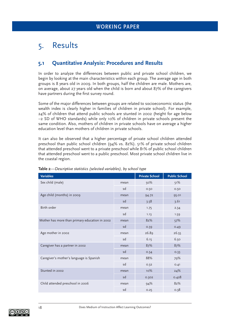# 5. Results

## **5.1 Quantitative Analysis: Procedures and Results**

In order to analyze the differences between public and private school children, we begin by looking at the main characteristics within each group. The average age in both groups is 8 years old in 2009. In both groups, half the children are male. Mothers are, on average, about 27 years old when the child is born and about 87% of the caregivers have partners during the first survey round.

Some of the major differences between groups are related to socioeconomic status (the wealth index is clearly higher in families of children in private school). For example, 24% of children that attend public schools are stunted in 2002 (height for age below –2 SD of WHO standards) while only 10% of children in private schools present the same condition. Also, mothers of children in private schools have on average a higher education level than mothers of children in private schools.

It can also be observed that a higher percentage of private school children attended preschool than public school children (94% vs. 82%). 51% of private school children that attended preschool went to a private preschool while 81% of public school children that attended preschool went to a public preschool. Most private school children live in the coastal region.

| <b>Variables</b>                               |      | <b>Private School</b> | <b>Public School</b> |
|------------------------------------------------|------|-----------------------|----------------------|
| Sex child (male)                               | mean | 50%                   | 51%                  |
|                                                | sd   | 0.50                  | 0.50                 |
| Age child (months) in 2009                     | mean | 94.72                 | 95.01                |
|                                                | sd   | 3.58                  | 3.61                 |
| Birth order                                    | mean | 1.75                  | 2.34                 |
|                                                | sd   | 1.13                  | 1.59                 |
| Mother has more than primary education in 2002 | mean | 82%                   | 57%                  |
|                                                | sd   | 0.39                  | 0.49                 |
| Age mother in 2002                             | mean | 26.89                 | 26.55                |
|                                                | sd   | 6.15                  | 6.50                 |
| Caregiver has a partner in 2002                | mean | 87%                   | 87%                  |
|                                                | sd   | 0.34                  | 0.33                 |
| Caregiver's mother's language is Spanish       | mean | 88%                   | 79%                  |
|                                                | sd   | 0.32                  | 0.41                 |
| Stunted in 2002                                | mean | 10%                   | 24%                  |
|                                                | sd   | 0.302                 | 0.428                |
| Child attended preschool in 2006               | mean | 94%                   | 82%                  |
|                                                | sd   | 0.25                  | 0.38                 |

**Table 2***—Descriptive statistics (selected variables), by school type*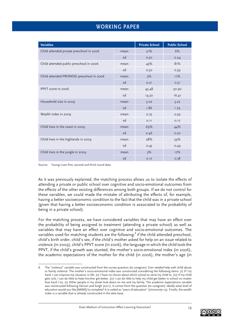| <b>Variables</b>                         |      | <b>Private School</b> | <b>Public School</b> |
|------------------------------------------|------|-----------------------|----------------------|
| Child attended private preschool in 2006 | mean | 51%                   | 6%                   |
|                                          | sd   | 0.50                  | 0.24                 |
| Child attended public preschool in 2006  | mean | 43%                   | 81%                  |
|                                          | sd   | 0.50                  | 0.39                 |
| Child attended PRONOEI preschool in 2006 | mean | 5%                    | 11%                  |
|                                          | sd   | 0.21                  | 0.31                 |
| PPVT score in 2006                       | mean | 45.48                 | 30.90                |
|                                          | sd   | 14.30                 | 16.41                |
| Household size in 2009                   | mean | 5.02                  | 5.22                 |
|                                          | sd   | 1.86                  | 1.79                 |
| Wealth index in 2009                     | mean | 0.75                  | 0.59                 |
|                                          | sd   | 0.11                  | 0.17                 |
| Child lives in the coast in 2009         | mean | 69%                   | 44%                  |
|                                          | sd   | 0.46                  | 0.50                 |
| Child lives in the highlands in 2009     | mean | 28%                   | 39%                  |
|                                          | sd   | 0.45                  | 0.49                 |
| Child lives in the jungle in 2009        | mean | 3%                    | 17%                  |
|                                          | sd   | 0.17                  | 0.38                 |

Source: Young Lives first, second and third round data.

As it was previously explained, the matching process allows us to isolate the effects of attending a private or public school over cognitive and socio-emotional outcomes from the effects of the other existing differences among both groups. If we do not control for these variables, we could made the mistake of attributing the effects of, for example, having a better socioeconomic condition to the fact that the child was in a private school (given that having a better socioeconomic condition is associated to the probability of being in a private school).

For the matching process, we have considered variables that may have an effect over the probability of being assigned to treatment (attending a private school) as well as variables that may have an effect over cognitive and socio-emotional outcomes. The variables used for matching students are the following:<sup>8</sup> if the child attended preschool, child's birth order, child's sex, if the child's mother asked for help on an issue related to violence (in 2009), child's PPVT score (in 2006), the language in which the child took the PPVT, if the child's growth was stunted, the mother's socio-emotional index (in 2006), the academic expectations of the mother for the child (in 2006), the mother's age (in



The "violence" variable was constructed from the survey question (to caregiver): Ever needed help with child abuse or family violence. The mother's socio-emotional index was constructed considering the following items: (i) If I try hard, I can improve my situation in life, (ii) I have no choice about which school to send my child to, (iii) If my child gets sick, I can do little to help him/her get better, (iv) I can do little to help my child get better in school no matter how hard I try, (v) Other people in my street look down on me and my family. The academic expectations variable was constructed following Dercon and Singh (2011). It comes from the question (to caregiver): Ideally what level of education would you like [NAME] to complete? It is coded as "years of education" (University=15). Finally, the wealth index is a variable that is already constructed in the data base.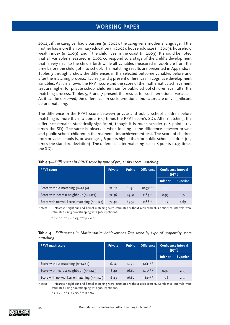2002), if the caregiver had a partner (in 2002), the caregiver's mother's language, if the mother has more than primary education (in 2002), household size (in 2009), household wealth index (in 2009), and if the child lives in the coast (in 2009). It should be noted that all variables measured in 2002 correspond to a stage of the child's development that is very near to the child's birth while all variables measured in 2006 are from the time before the child got into school. The matching results are presented in Appendix 1. Tables 3 through 7 show the differences in the selected outcome variables before and after the matching process. Tables 3 and 4 present differences in cognitive development variables. As it is shown, the PPVT score and the score of the mathematics achievement test are higher for private school children than for public school children even after the matching process. Tables 5, 6 and 7 present the results for socio-emotional variables. As it can be observed, the differences in socio-emotional indicators are only significant before matching.

The difference in the PPVT score between private and public school children before matching is more than 10 points (0.7 times the PPVT score's SD). After matching, the difference remains statistically significant, though it is much smaller (2.8 points, 0.2 times the SD). The same is observed when looking at the difference between private and public school children in the mathematics achievement test. The score of children from private schools is, on average, 3.6 points higher than for public school children (0.7 times the standard deviation). The difference after matching is of 1.8 points (0.35 times the SD).

| <b>PPVT</b> score                             | <b>Private</b> | <b>Public</b> | <b>Difference</b> | Confidence Interval<br>(95%) |                 |
|-----------------------------------------------|----------------|---------------|-------------------|------------------------------|-----------------|
|                                               |                |               |                   | <b>Inferior</b>              | <b>Superior</b> |
| Score without matching $(n=1,238)$            | 72.47          | 61.94         | $10.53***$        |                              |                 |
| Score with nearest neighbour $(n=1,121)$      | 72.36          | 69.51         | $2.84***$         | 0.95                         | 4.74            |
| Score with normal kernel matching $(n=1,123)$ | 72.40          | 69.52         | $2.88**$          | 1.07                         | 4.69            |

| Table 3—Differences in PPVT score by type of propensity score matching' |  |  |
|-------------------------------------------------------------------------|--|--|
|-------------------------------------------------------------------------|--|--|

Notes: 1: Nearest neighbour and kernel matching were estimated without replacement. Confidence intervals were estimated using bootstrapping with 500 repetitions.

 $* p < 0.1, ** p < 0.05, ** p < 0.01$ 

#### **Table 4***—Differences in Mathematics Achievement Test score by type of propensity score matching*<sup>1</sup>

| <b>PPVT</b> math score                        | <b>Private</b> | <b>Public</b> | <b>Difference</b> |                 | <b>Confidence Interval</b><br>(95%) |
|-----------------------------------------------|----------------|---------------|-------------------|-----------------|-------------------------------------|
|                                               |                |               |                   | <b>Inferior</b> | <b>Superior</b>                     |
| Score without matching $(n=1,262)$            | 18.52          | 14.90         | $3.61***$         |                 |                                     |
| Score with nearest neighbour $(n=1,143)$      | 18.42          | 16.67         | $1.75***$         | 0.97            | 2.53                                |
| Score with normal kernel matching $(n=1,145)$ | 18.43          | 16.62         | $1.82***$         | 1.06            | 2.57                                |

Notes: 1: Nearest neighbour and kernel matching were estimated without replacement. Confidence intervals were estimated using bootstrapping with 500 repetitions.

 $* p < 0.1$ ,  $** p < 0.05$ ,  $** p < 0.01$ 

$$
\textcircled{\footnotesize\textcircled{\footnotesize\textcircled{\footnotesize\textcirc}}}
$$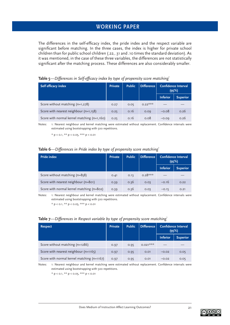The differences in the self-efficacy index, the pride index and the respect variable are significant before matching. In the three cases, the index is higher for private school children than for public school children (.22, .31 and .10 times the standard deviation). As it was mentioned, in the case of these three variables, the differences are not statistically significant after the matching process. These differences are also considerably smaller.

| Self efficacy index                           | <b>Private</b> | <b>Public</b> | <b>Difference</b> |                 | <b>Confidence Interval</b><br>(95%) |
|-----------------------------------------------|----------------|---------------|-------------------|-----------------|-------------------------------------|
|                                               |                |               |                   | <b>Inferior</b> | <b>Superior</b>                     |
| Score without matching (n=1,278)              | 0.27           | 0.05          | $0.22***$         |                 |                                     |
| Score with nearest neighbour $(n=1,158)$      | 0.25           | 0.16          | 0.09              | $-0.08$         | 0.26                                |
| Score with normal kernel matching $(n=1,160)$ | 0.25           | 0.16          | 0.08              | $-0.09$         | 0.26                                |

#### Table 5—Differences in Self-efficacy index by type of propensity score matching<sup>1</sup>

Notes: 1: Nearest neighbour and kernel matching were estimated without replacement. Confidence intervals were estimated using bootstrapping with 500 repetitions.

 $*$  p < 0.1,  $**$  p < 0.05,  $***$  p < 0.01

#### **Table 6***—Differences in Pride index by type of propensity score matching*<sup>1</sup>

| <b>Pride index</b>                        | <b>Private</b> | <b>Public</b> | <b>Difference</b> |                 | Confidence Interval<br>(95%) |
|-------------------------------------------|----------------|---------------|-------------------|-----------------|------------------------------|
|                                           |                |               |                   | <b>Inferior</b> | <b>Superior</b>              |
| Score without matching (n=858)            | 0.41           | 0.13          | $0.28***$         |                 |                              |
| Score with nearest neighbour (n=801)      | 0.39           | 0.36          | 0.03              | $-0.16$         | 0.22                         |
| Score with normal kernel matching (n=802) | 0.39           | 0.36          | 0.03              | $-0.15$         | O.21                         |

Notes: 1: Nearest neighbour and kernel matching were estimated without replacement. Confidence intervals were estimated using bootstrapping with 500 repetitions.

 $* p < 0.1, ** p < 0.05, ** p < 0.01$ 

#### **Table 7***—Differences in Respect variable by type of propensity score matching*<sup>1</sup>

| <b>Respect</b>                             | <b>Private</b> | <b>Public</b> | <b>Difference</b> | <b>Confidence Interval</b><br>(95%) |                 |
|--------------------------------------------|----------------|---------------|-------------------|-------------------------------------|-----------------|
|                                            |                |               |                   | <b>Inferior</b>                     | <b>Superior</b> |
| Score without matching (n=1286)            | 0.97           | 0.95          | $0.021***$        |                                     |                 |
| Score with nearest neighbour $(n=1165)$    | 0.97           | 0.95          | 0.01              | $-0.02$                             | 0.05            |
| Score with normal kernel matching (n=1167) | 0.97           | 0.95          | 0.01              | $-0.02$                             | 0.05            |

Notes: 1: Nearest neighbour and kernel matching were estimated without replacement. Confidence intervals were estimated using bootstrapping with 500 repetitions.

 $* p < 0.1$ ,  $** p < 0.05$ ,  $*** p < 0.01$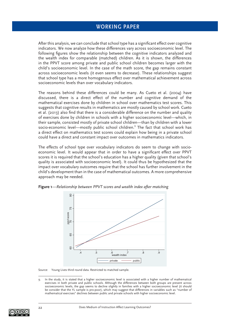After this analysis, we can conclude that school type has a significant effect over cognitive indicators. We now analyze how these differences vary across socioeconomic level. The following figures show the relationship between the cognitive indicators analyzed and the wealth index for comparable (matched) children. As it is shown, the differences in the PPVT score among private and public school children becomes larger with the child's socioeconomic level. In the case of the math score, the gap remains constant across socioeconomic levels (it even seems to decrease). These relationships suggest that school type has a more homogenous effect over mathematical achievement across socioeconomic levels than over vocabulary indicators.

The reasons behind these differences could be many. As Cueto et al. (2004) have discussed, there is a direct effect of the number and cognitive demand of the mathematical exercises done by children in school over mathematics test scores. This suggests that cognitive results in mathematics are mostly caused by school work. Cueto et al. (2013) also find that there is a considerable difference on the number and quality of exercises done by children in schools with a higher socioeconomic level—which, in their sample, consisted mostly of private school children—than by children with a lower socio-economic level—mostly public school children.<sup>9</sup> The fact that school work has a direct effect on mathematics test scores could explain how being in a private school could have a direct and constant impact over outcomes in mathematics indicators.

The effects of school type over vocabulary indicators do seem to change with socioeconomic level. It would appear that in order to have a significant effect over PPVT scores it is required that the school's education has a higher quality (given that school's quality is associated with socioeconomic level). It could thus be hypothesized that the impact over vocabulary outcomes require that the school has further involvement in the child's development than in the case of mathematical outcomes. A more comprehensive approach may be needed.



**Figure 1***—Relationship between PPVT scores and wealth index after matching*

Source: Young Lives third round data. Restricted to matched sample.

<sup>9.</sup> In the study, it is stated that a higher socioeconomic level is associated with a higher number of mathematical exercises in both private and public schools. Although the differences between both groups are present across socioeconomic levels, the gap seems to decline slightly in families with a higher socioeconomic level (it should be consider that the YL sample is pro-poor), which may suggest that differences in variables such as "number of mathematical exercises" declines between public and private schools with higher socioeconomic level.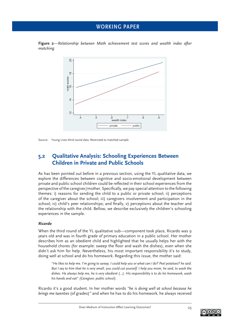



Source: Young Lives third round data. Restricted to matched sample.

## **5.2 Qualitative Analysis: Schooling Experiences Between Children in Private and Public Schools**

As has been pointed out before in a previous section, using the YL qualitative data, we explore the differences between cognitive and socio-emotional development between private and public school children could be reflected in their school experiences from the perspective of the caregiver/mother. Specifically, we pay special attention to the following themes: i) reasons for sending the child to a public or private school; ii) perceptions of the caregiver about the school; iii) caregivers involvement and participation in the school; iv) child's peer relationships; and finally, v) perceptions about the teacher and the relationship with the child. Bellow, we describe exclusively the children's schooling experiences in the sample.

#### *Ricardo*

When the third round of the YL qualitative sub—component took place, Ricardo was 9 years old and was in fourth grade of primary education in a public school. Her mother describes him as an obedient child and highlighted that he usually helps her with the household chores (for example: sweep the floor and wash the dishes), even when she didn't ask him for help. Nevertheless, his most important responsibility it's to study, doing well at school and do his homework. Regarding this issue, the mother said:

*"He likes to help me. I'm going to sweep, I could help you or what can I do? Peel potatoes? he said. But I say to him that he is very small, you could cut yourself. I help you mom, he said, to wash the dishes. He always help me, he is very obedient (…). His responsibility is to do his homework, wash his hands and eat" (Caregiver, public school).*

Ricardo it's a good student. In her mother words *"he is doing well at school because he brings me twenties* (of grades)*"* and when he has to do his homework, he always received

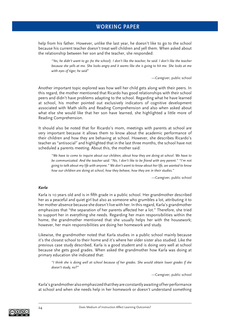help from his father. However, unlike the last year, he doesn't like to go to the school because his current teacher doesn't treat well children and yell them. When asked about the relationship between her son and the teacher, she responded:

*"Yes, he didn't want to go (to the school). I don't like the teacher, he said. I don't like the teacher because she yells at me. She looks angry and it seems like she is going to hit me. She looks at me with eyes of tiger, he said"* 

—Caregiver, public school

Another important topic explored was how well her child gets along with their peers. In this regard, the mother mentioned that Ricardo has good relationships with their school peers and didn't have problems adapting to the school. Regarding what he have learned at school, his mother pointed out exclusively indicators of cognitive development associated with Math skills and Reading Comprehension and also when asked about what else she would like that her son have learned, she highlighted a little more of Reading Comprehension.

It should also be noted that for Ricardo's mom, meetings with parents at school are very important because it allows them to know about the academic performance of their children and how they are behaving at school. However, she describes Ricardo's teacher as "antisocial" and highlighted that in the last three months, the school have not scheduled a parents meeting. About this, the mother said:

*"We have to come to inquire about our children, about how they are doing at school. We have to be communicated. And the teacher said: "No, I don't like to be friend with any parent." "I'm not going to talk about my life with anyone." We don't want to know about her life, we wanted to know how our children are doing at school, how they behave, how they are in their studies."* 

—Caregiver, public school

#### *Karla*

Karla is 10 years old and is in fifth grade in a public school. Her grandmother described her as a peaceful and quiet girl but also as someone who grumbles a lot, attributing it to her mother absence because she doesn't live with her. In this regard, Karla's grandmother emphasizes that "the separation of her parents affected her a lot." Therefore, she tried to support her in everything she needs. Regarding her main responsibilities within the home, the grandmother mentioned that she usually helps her with the housework; however, her main responsibilities are doing her homework and study.

Likewise, the grandmother noted that Karla studies in a public school mainly because it's the closest school to their home and it's where her older sister also studied. Like the previous case study described, Karla is a good student and is doing very well at school because she gets good grades. When asked the grandmother how Karla was doing at primary education she indicated that:

*"I think she is doing well at school because of her grades. She would obtain lower grades if she doesn't study, no?"*

—Caregiver, public school

Karla's grandmother also emphasized that they are constantly awaiting of her performance at school and when she needs help in her homework or doesn't understand something

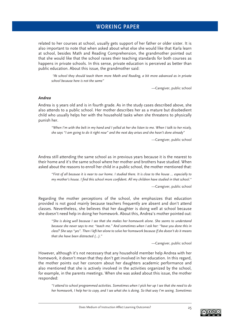related to her courses at school, usually gets support of her father or older sister. It is also important to note that when asked about what else she would like that Karla learn at school, besides Math and Reading Comprehension, the grandmother pointed out that she would like that the school raises their teaching standards for both courses as happens in private schools. In this sense, private education is perceived as better than public education. About this issue, the grandmother said:

 *"At school they should teach them more Math and Reading, a bit more advanced as in private school because here is not the same"* 

—Caregiver, public school

#### *Andrea*

Andrea is 9 years old and is in fourth grade. As in the study cases described above, she also attends to a public school. Her mother describes her as a mature but disobedient child who usually helps her with the household tasks when she threatens to physically punish her.

*"When I'm with the belt in my hand and I yelled at her she listen to me. When I talk to her nicely, she says "I am going to do it right now" and the next day arises and she hasn't done already"* 

—Caregiver, public school

Andrea still attending the same school as in previous years because it is the nearest to their home and it's the same school where her mother and brothers have studied. When asked about the reasons to enroll her child in a public school, the mother mentioned that:

*"First of all because it is near to our home. I studied there. It is close to the house ... especially to my mother's house. I find this school more confident. All my children have studied in that school.*"

—Caregiver, public school

Regarding the mother perceptions of the school, she emphasizes that education provided is not good mainly because teachers frequently are absent and don't attend classes. Nevertheless, she believes that her daughter is doing well at school because she doesn't need help in doing her homework. About this, Andrea's mother pointed out:

*"She is doing well because I see that she makes her homework alone. She seems to understand because she never says to me: "teach me." And sometimes when I ask her: "have you done this in class? She says "yes". Then I left her alone to solve her homework because if she doesn't do it means that she have been distracted (…)."*

—Caregiver, public school

However, although it's not necessary that any household member help Andrea with her homework, it doesn't mean that they don't get involved in her education. In this regard, the mother points out her concern about her daughters academic performance and also mentioned that she is actively involved in the activities organized by the school, for example, in the parents meetings. When she was asked about this issue, the mother responded:

*"I attend to school programmed activities. Sometimes when I pick her up I see that she need to do her homework, I help her to copy, and I see what she is doing. So that way I'm seeing. Sometimes* 

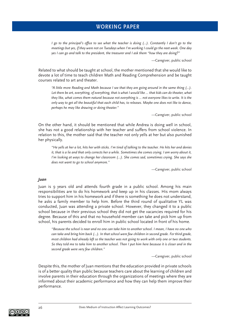*I go to the principal's office to see what the teacher is doing (...). Constantly I don't go to the meetings but yes, if they were not on Tuesdays when I'm working I could go the next week. One day yes I can go and talk to the president, the treasurer and I ask them "how they are doing?"*

—Caregiver, public school

Related to what should be taught at school, the mother mentioned that she would like to devote a lot of time to teach children Math and Reading Comprehension and be taught courses related to art and theater.

*"A little more Reading and Math because I see that they are going around in the same thing (...). Let there be art, everything, of everything, that is what I would like ... that kids can do theater, what they like, what comes them natural because not everything is ... not everyone likes to write. It is the only way to get all the beautiful that each child has, to releases. Maybe one does not like to dance, perhaps he may like drawing or doing theater."*

—Caregiver, public school

On the other hand, it should be mentioned that while Andrea is doing well in school, she has not a good relationship with her teacher and suffers from school violence. In relation to this, the mother said that the teacher not only yells at her but also punished her physically.

*"He yells at her a lot, hits her with sticks. I'm tired of talking to the teacher. He hits her and denies it, that is a lie and that only corrects her a while. Sometimes she comes crying. I am worry about it, I'm looking at ways to change her classroom (...). She comes sad, sometimes crying. She says she does not want to go to school anymore."*

—Caregiver, public school

#### *Juan*

Juan is 9 years old and attends fourth grade in a public school. Among his main responsibilities are to do his homework and keep up in his classes. His mom always tries to support him in his homework and if there is something he does not understand, he asks a family member to help him. Before the third round of qualitative YL was conducted, Juan was attending a private school. However, they changed it to a public school because in their previous school they did not get the vacancies required for his degree. Because of this and that no household member can take and pick him up from school, his parents decided to enroll him in public school located in front of his home.

*"Because the school is near and no one can take him to another school. I mean, I have no one who can take and bring him back (...). In that school were few children in second grade. For third grade, most children had already left so the teacher was not going to work with only one or two students. So they told me to take him to another school. Then I put him here because it is closer and in the second grade were very few children."*

—Caregiver, public school

Despite this, the mother of Juan mentions that the education provided in private schools is of a better quality than public because teachers care about the learning of children and involve parents in their education through the organizations of meetings where they are informed about their academic performance and how they can help them improve their performance.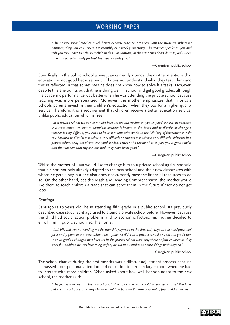*"The private school teaches much better because teachers are there with the students. Whatever happens, they you call. There are monthly or biweekly meetings. The teacher speaks to you and tells you "you have to help your child in this". In contrast, in the state they don't do that, only when there are activities, only for that the teacher calls you."*

—Caregiver, public school

Specifically, in the public school where Juan currently attends, the mother mentions that education is not good because her child does not understand what they teach him and this is reflected in that sometimes he does not know how to solve his tasks. However, despite this she points out that he is doing well in school and get good grades, although his academic performance was better when he was attending the private school because teaching was more personalized. Moreover, the mother emphasizes that in private schools parents invest in their children's education when they pay for a higher quality service. Therefore, it is a requirement that children receive a better education service, unlike public education which is free.

*"In a private school we can complain because we are paying to give us good service. In contrast, in a state school we cannot complain because it belong to the State and to dismiss or change a*  teacher is very difficult, you have to have someone who works in the Ministry of Education to help *you because to dismiss a teacher is very difficult or change a teacher is very difficult. Whereas in a private school they are giving you good service, I mean the teacher has to give you a good service and the teachers that my son has had, they have been good."*

—Caregiver, public school

Whilst the mother of Juan would like to change him to a private school again, she said that his son not only already adapted to the new school and their new classmates with whom he gets along but she also does not currently have the financial resources to do so. On the other hand, besides Math and Reading Comprehension, the mother would like them to teach children a trade that can serve them in the future if they do not get jobs.

#### *Santiago*

Santiago is 10 years old, he is attending fifth grade in a public school. As previously described case study, Santiago used to attend a private school before. However, because the child had socialization problems and to economic factors, his mother decided to enroll him in public school near his home.

*"(....) His dad was not sending me the monthly payment at the time (...). My son attended preschool for 4 and 5 years in a private school, first grade he did it at a private school and second grade too. In third grade I changed him because in the private school were only three or four children as they were few children he was becoming selfish, he did not wanting to share things with anyone.*"

—Caregiver, public school

The school change during the first months was a difficult adjustment process because he passed from personal attention and education to a much larger room where he had to interact with more children. When asked about how well her son adapt to the new school, the mother said:

*"The fi rst year he went to the new school, last year, he saw many children and was upset" You have put me in a school with many children, children bore me!" From a school of four children he went*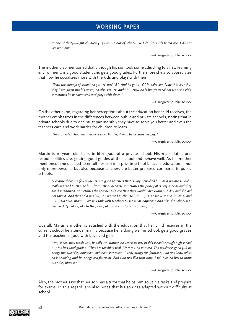*to one of thirty—eight children (...).Get me out of school! He told me. Girls bored me, I do not like women!"*

—Caregiver, public school

The mother also mentioned that although his son took some adjusting to a new learning environment, is a good student and gets good grades. Furthermore she also appreciates that now he socializes more with the kids and plays with them.

*"With the change of school he got "A" and "B". And he got a "C" in behavior. Now this year that they have given me his notes, he also got "A" and "B". Now he is happy at school with the kids, sometimes he behaves well and plays with them."*

—Caregiver, public school

On the other hand, regarding her perceptions about the education her child receives, the mother emphasizes in the differences between public and private schools, noting that in private schools due to one must pay monthly they have to serve you better and even the teachers care and work harder for children to learn.

 *"In a private school yes, teachers work harder, it may be because we pay."*

—Caregiver, public school

Martin is 10 years old, he is in fifth grade at a private school. His main duties and responsibilities are: getting good grades at the school and behave well. As his mother mentioned, she decided to enroll her son in a private school because education is not only more personal but also because teachers are better prepared compared to public schools.

*"Because there are few students and good teachers that is why I enrolled him at a private school. I really wanted to change him from school because sometimes the principal is very special and they are disorganized. Sometimes the teacher told me that they would have exam one day and she did not take it. And that I did not like, so I wanted to change him (...) But I spoke to the principal and SHE said "No, ma'am. We will talk with teachers to see what happens" And also the school was always dirty but I spoke to the principal and seems to be improving (...)"*

—Caregiver, public school

Overall, Martin's mother is satisfied with the education that her child receives in the current school he attends, mainly because he is doing well in school, gets good grades and the teacher is good with boys and girls.

*"Yes, Mom, they teach well, he tells me. Rather, he wants to stay in this school through high school (...) He has good grades. "They are teaching well, Mommy, he tells me. The teacher is good (...) he brings me twenties, nineteen, eighteen, seventeen. Rarely brings me fourteen, I do not know what he is thinking and he brings me fourteen. And I do not like that note, I tell him he has to bring twenties, nineteen."*

—Caregiver, public school

Also, the mother says that her son has a tutor that helps him solve his tasks and prepare for exams. In this regard, she also notes that his son has adapted without difficulty at school.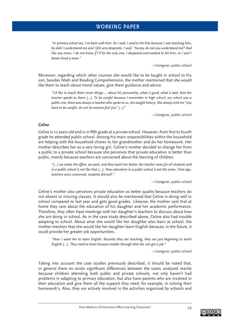*"In primary school yes, I've been with him. As I said, I used to hit him because I was teaching him, he didn´t understand me and I felt very desperate. I said, "Sonny, do not you understand me? And like any mom, I do not know if I'll be the only one, I despaired and wanted to hit him, so I said I better hired a tutor."*

—Caregiver, public school

Moreover, regarding which other courses she would like to be taught in school to his son, besides Math and Reading Comprehension, the mother mentioned that she would like them to teach about moral values, give them guidance and advice.

*"I'd like to teach them more things ... about his personality, what is good, what is bad, that the teacher speaks to them (...). To be careful because I remember in high school, my school was a public one, there was always a teacher who spoke to us, she taught history. She always told me "you have to be careful, do not let anyone fool you" (...)"*

—Caregiver, public school

#### *Celine*

Celine is 10 years old and is in fifth grade at a private school. However, from first to fourth grade he attended public school. Among his main responsibilities within the household are helping with the household chores to her grandmother and do her homework. Her mother describes her as a very loving girl. Celine's mother decided to change her from a public to a private school because she perceives that private education is better than public, mainly because teachers are concerned about the learning of children.

*"(...) we make the effort, we paid, and they teach her better, the teacher cares for all students and in a public school is not like that (...). Now education in a public school is not the same. Time ago, teachers were concerned, students did well."*

—Caregiver, public school

Celine's mother also perceives private education as better quality because teachers do not absent or missing classes. It should also be mentioned that Celine is doing well in school compared to last year and gets good grades. Likewise, the mother said that at home they care about the education of his daughter and her academic performance. Therefore, they often have meetings with her daughter's teachers to discuss about how she are doing in school. As in the case study described above, Celine also had trouble adapting to school. About what she would like her daughter also learn at school, the mother mention that she would like her daughter learn English because, in the future, it could provide her greater job opportunities.

*"Now I want her to learn English. Recently they are teaching, they are just beginning to teach English (...). They need to learn because maybe through that she can get a job."*

—Caregiver, public school

Taking into account the case studies previously described, it should be noted that, in general there no exists significant differences between the cases analyzed mainly because children attending both public and private schools, not only haven't had problems in adapting to primary education; but also have parents who are involved in their education and give them all the support they need; for example, in solving their homework's. Also, they are actively involved in the activities organized by schools and

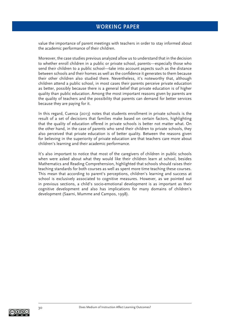value the importance of parent meetings with teachers in order to stay informed about the academic performance of their children.

Moreover, the case studies previous analyzed allow us to understand that in the decision to whether enroll children in a public or private school, parents—especially those who send their children to a public school—take into account aspects such as the distance between schools and their homes as well as the confidence it generates to them because their other children also studied there. Nevertheless, it's noteworthy that, although children attend a public school, in most cases their parents perceive private education as better, possibly because there is a general belief that private education is of higher quality than public education. Among the most important reasons given by parents are the quality of teachers and the possibility that parents can demand for better services because they are paying for it.

In this regard, Cuenca (2013) notes that students enrollment in private schools is the result of a set of decisions that families make based on certain factors, highlighting that the quality of education offered in private schools is better not matter what. On the other hand, in the case of parents who send their children to private schools, they also perceived that private education is of better quality. Between the reasons given for believing in the superiority of private education are that teachers care more about children's learning and their academic performance.

It's also important to notice that most of the caregivers of children in public schools when were asked about what they would like their children learn at school, besides Mathematics and Reading Comprehension, highlighted that schools should raises their teaching standards for both courses as well as spent more time teaching these courses. This mean that according to parent's perceptions, children's learning and success at school is exclusively associated to cognitive measures. However, as we pointed out in previous sections, a child's socio-emotional development is as important as their cognitive development and also has implications for many domains of children's development (Saarni, Mumme and Campos, 1998).

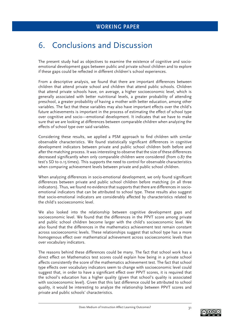# 6. Conclusions and Discussion

The present study had as objectives to examine the existence of cognitive and socioemotional development gaps between public and private school children and to explore if these gaps could be reflected in different children's school experiences.

From a descriptive analysis, we found that there are important differences between children that attend private school and children that attend public schools. Children that attend private schools have, on average, a higher socioeconomic level, which is generally associated with better nutritional levels, a greater probability of attending preschool, a greater probability of having a mother with better education, among other variables. The fact that these variables may also have important effects over the child's future achievements is important in the process of estimating the effect of school type over cognitive and socio—emotional development. It indicates that we have to make sure that we are looking at differences between comparable children when analyzing the effects of school type over said variables.

Considering these results, we applied a PSM approach to find children with similar observable characteristics. We found statistically significant differences in cognitive development indicators between private and public school children both before and after the matching process. It was interesting to observe that the size of these differences decreased significantly when only comparable children were considered (from 0.87 the test's SD to 0.15 times). This supports the need to control for observable characteristics when comparing achievement levels between private and public school children.

When analyzing differences in socio-emotional development, we only found significant differences between private and public school children before matching (in all three indicators). Thus, we found no evidence that supports that there are differences in socioemotional indicators that can be attributed to school type. These results also suggest that socio-emotional indicators are considerably affected by characteristics related to the child's socioeconomic level.

We also looked into the relationship between cognitive development gaps and socioeconomic level. We found that the differences in the PPVT score among private and public school children become larger with the child's socioeconomic level. We also found that the differences in the mathematics achievement test remain constant across socioeconomic levels. These relationships suggest that school type has a more homogenous effect over mathematical achievement across socioeconomic levels than over vocabulary indicators.

The reasons behind these differences could be many. The fact that school work has a direct effect on Mathematics test scores could explain how being in a private school affects consistently the score of the mathematics achievement test. The fact that school type effects over vocabulary indicators seem to change with socioeconomic level could suggest that, in order to have a significant effect over PPVT scores, it is required that the school's education has a higher quality (given that school's quality is associated with socioeconomic level). Given that this last difference could be attributed to school quality, it would be interesting to analyze the relationship between PPVT scores and private and public schools' characteristics.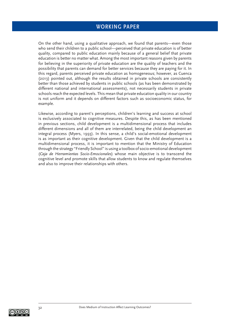On the other hand, using a qualitative approach, we found that parents—even those who send their children to a public school—perceived that private education is of better quality, compared to public education mainly because of a general belief that private education is better no matter what. Among the most important reasons given by parents for believing in the superiority of private education are the quality of teachers and the possibility that parents can demand for better services because they are paying for it. In this regard, parents perceived private education as homogeneous; however, as Cuenca (2013) pointed out, although the results obtained in private schools are consistently better than those achieved by students in public schools (as has been demonstrated by different national and international assessments), not necessarily students in private schools reach the expected levels. This mean that private education quality in our country is not uniform and it depends on different factors such as socioeconomic status, for example.

Likewise, according to parent's perceptions, children's learning and success at school is exclusively associated to cognitive measures. Despite this, as has been mentioned in previous sections, child development is a multidimensional process that includes different dimensions and all of them are interrelated, being the child development an integral process (Myers, 1993). In this sense, a child's social-emotional development is as important as their cognitive development. Given that the child development is a multidimensional process, it is important to mention that the Ministry of Education through the strategy "Friendly School" is using a toolbox of socio-emotional development (*Caja de Herramientas Socio-Emocionales*) whose main objective is to transcend the cognitive level and promote skills that allow students to know and regulate themselves and also to improve their relationships with others.

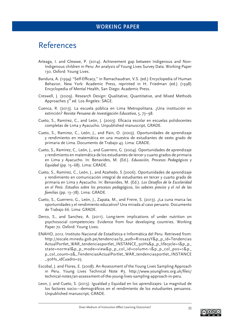# References

- Arteaga, I. and Glewwe, P. (2014). Achievement gap between Indigenous and Non-Indigenous children in Peru: An analysis of Young Lives Survey Data. Working Paper 130. Oxford: Young Lives.
- Bandura, A. (1994) "Self-Efficacy," in Ramachaudran, V.S. (ed.) Encyclopedia of Human Behavior, New York: Academic Press, reprinted in H. Friedman (ed.) (1998) Encyclopedia of Mental Health, San Diego: Academic Press.
- Creswell, J. (2009). Research Design: Qualitative, Quantitative, and Mixed Methods Approaches 3<sup>rd</sup> ed. Los Ángeles: SAGE.
- Cuenca, R. (2013). La escuela pública en Lima Metropolitana. ¿Una institución en extinción? *Revista Peruana de Investigación Educativa*, 5, 73–98.
- Cueto, S., Ramírez, C., and León, J. (2003). Eficacia escolar en escuelas polidocentes completas de Lima y Ayacucho. Unpublished manuscript, GRADE.
- Cueto, S., Ramirez, C., León, J., and Pain, O. (2003). Oportunidades de aprendizaje y rendimiento en matemática en una muestra de estudiantes de sexto grado de primaria de Lima. Documento de Trabajo 43. Lima: GRADE.
- Cueto, S., Ramírez, C., León, J., and Guerrero, G. (2004). Oportunidades de aprendizaje y rendimiento en matemática de los estudiantes de tercer y cuarto grados de primaria en Lima y Ayacucho. In: Benavides, M. (Ed.). *Educación, Procesos Pedagógicos y Equidad* (pp. 15–68). Lima: GRADE.
- Cueto, S., Ramírez, C., León, J., and Azañedo, S (2006). Oportunidades de aprendizaje y rendimiento en comunicación integral de estudiantes en tercer y cuarto grado de primaria en Lima y Ayacucho. In: Benavides, M. (Ed.). *Los Desafíos de la Escolaridad en el Perú. Estudios sobre los procesos pedagógicos, los saberes previos y el rol de las familias* (pp. 13–78). Lima: GRADE.
- Cueto, S., Guerrero, G., León, J., Zapata, M., and Freire, S. (2013). ¿La cuna marca las oportunidades y el rendimiento educativo? Una mirada al caso peruano. Documento de Trabajo 66. Lima: GRADE.
- Derco, S., and Sanchez, A. (2011). Long-term implications of under nutrition on psychosocial competencies: Evidence from four developing countries. Working Paper 72. Oxford: Young Lives.
- ENAHO, 2012. Instituto Nacional de Estadística e Informática del Peru. Retrieved from: http://escale.minedu.gob.pe/tendencias?p\_auth=R1osa2yY&p\_p\_id=Tendencias ActualPortlet\_WAR\_tendenciasportlet\_INSTANCE\_90Hs&p\_p\_lifecycle=1&p\_p\_ state=normal&p\_p\_mode=view&p\_p\_col\_id=column-1&p\_p\_col\_pos=1&p\_ p\_col\_count=2&\_TendenciasActualPortlet\_WAR\_tendenciasportlet\_INSTANCE \_90Hs\_idCuadro=25.
- Escobal, J. and Flores, E. (2008). An Assessment of the Young Lives Sampling Approach in Peru. Young Lives Technical Note #3. http://www.younglives.org.uk/files/ technical-notes/an-assessment-of-the-young-lives-sampling-approach-in-peru.
- Leon, J. and Cueto, S. (2013). Igualdad y Equidad en los aprendizajes: La magnitud de los factores socio-demográficos en el rendimiento de los estudiantes peruanos. Unpublished manuscript, GRADE.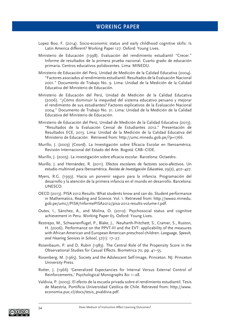- Lopez Boo, F. (2014). Socio-economic status and early childhood cognitive skills: Is Latin America different? Working Paper 127. Oxford: Young Lives.
- Ministerio de Educación (1998). Evaluación del rendimiento estudiantil "Crecer." Informe de resultados de la primera prueba nacional. Cuarto grado de educación primaria. Centros educativos polidocentes. Lima: MINEDU.
- Ministerio de Educación del Perú, Unidad de Medición de la Calidad Educativa (2004). "Factores asociados al rendimiento estudiantil. Resultados de la Evaluación Nacional 2001." Documento de Trabajo No. 9. Lima: Unidad de la Medición de la Calidad Educativa del Ministerio de Educación.
- Ministerio de Educación del Perú, Unidad de Medición de la Calidad Educativa (2006). "¿Cómo disminuir la inequidad del sistema educativo peruano y mejorar el rendimiento de sus estudiantes? Factores explicativos de la Evaluación Nacional 2004." Documento de Trabajo No. 21. Lima: Unidad de la Medición de la Calidad Educativa del Ministerio de Educación.
- Ministerio de Educación del Perú, Unidad de Medición de la Calidad Educativa (2013). "Resultados de la Evaluación Censal de Estudiantes 2012." Presentación de Resultados ECE, 2013. Lima: Unidad de la Medición de la Calidad Educativa del Ministerio de Educación. Retrieved from: http://umc.minedu.gob.pe/?p=1766.
- Murillo, J. (2003) (Coord). La Investigación sobre Eficacia Escolar en Iberoamérica. Revisión Internacional del Estado del Arte. Bogotá: CAB–CIDE.
- Murillo, J. (2005). La investigación sobre eficacia escolar. Barcelona: Octaedro.
- Murillo, J. and Hernández, R. (2011). Efectos escolares de factores socio-afectivos. Un estudio multinivel para Iberoamérica. *Revista de Investigación Educativa*, 29(2), 407–427.
- Myers, R.G. (1993). Hacia un porvenir seguro para la infancia. Programación del desarrollo y la atención de la primera infancia en el mundo en desarrollo. Barcelona: UNESCO.
- OECD (2013). PISA 2012 Results: What students know and can do. Student performance in Mathematics, Reading and Science. Vol. 1. Retrieved from: http://www2.minedu. gob.pe/umc//PISA/InformePISA2012/pisa-2012-results-volume-I.pdf.
- Outes, I., Sánchez, A., and Molina, O. (2010). Psychosocial status and cognitive achievement in Peru. Working Paper 65. Oxford: Young Lives.
- Restrepo, M., Schwanenflugel, P., Blake, J., Neuharth-Pritchett, S., Cramer, S., Ruston, H. (2006). Performance on the PPVT-III and the EVT: applicability of the measures with African American and European American preschool children. *Language, Speech, and Hearing Services in School*, 37(1): 17–27.
- Rosenbaum, P. and D. Rubin (1983). The Central Role of the Propensity Score in the Observational Studies for Casual Effects. Biometrica 70, pp. 41–55.
- Rosenberg, M. (1965). Society and the Adolescent Self-Image, Princeton. NJ: Princeton University Press.
- Rotter, J. (1966) 'Generalized Expectancies for Internal Versus External Control of Reinforcements,' Psychological Monographs 80: 1–28.
- Valdivia, P. (2003). El efecto de la escuela privada sobre el rendimiento estudiantil. Tesis de Maestría, Pontificia Universidad Católica de Chile. Retrieved from: http://www. economia.puc.cl/docs/tesis\_pvaldivia.pdf.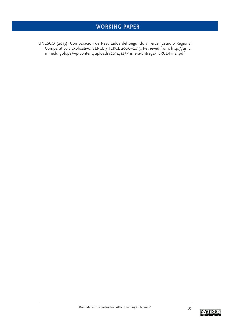UNESCO (2013). Comparación de Resultados del Segundo y Tercer Estudio Regional Comparativo y Explicativo: SERCE y TERCE 2006–2013. Retrieved from: http://umc. minedu.gob.pe/wp-content/uploads/2014/12/Primera-Entrega-TERCE-Final.pdf.

$$
\widehat{G_1\oplus\mathbb{S}}
$$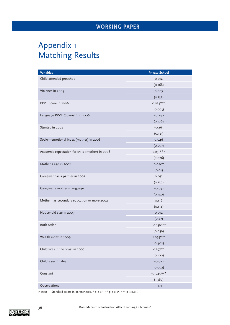# Appendix 1 Matching Results

| <b>Variables</b>                                | <b>Private School</b> |  |  |  |
|-------------------------------------------------|-----------------------|--|--|--|
| Child attended preschool                        | 0.012                 |  |  |  |
|                                                 | (0.168)               |  |  |  |
| Violence in 2009                                | 0.005                 |  |  |  |
|                                                 | (0.132)               |  |  |  |
| PPVT Score in 2006                              | $0.014***$            |  |  |  |
|                                                 | (0.003)               |  |  |  |
| Language PPVT (Spanish) in 2006                 | $-0.240$              |  |  |  |
|                                                 | (0.576)               |  |  |  |
| Stunted in 2002                                 | $-0.163$              |  |  |  |
|                                                 | (0.135)               |  |  |  |
| Socio-emotional index (mother) in 2006          | 0.046                 |  |  |  |
|                                                 | (0.057)               |  |  |  |
| Academic expectation for child (mother) in 2006 | $0.231***$            |  |  |  |
|                                                 | (0.076)               |  |  |  |
| Mother's age in 2002                            | $0.020*$              |  |  |  |
|                                                 | (0.01)                |  |  |  |
| Caregiver has a partner in 2002                 | 0.051                 |  |  |  |
|                                                 | (0.139)               |  |  |  |
| Caregiver's mother's language                   | $-0.032$              |  |  |  |
|                                                 | (0.140)               |  |  |  |
| Mother has secondary education or more 2002     | 0.116                 |  |  |  |
|                                                 | (0.114)               |  |  |  |
| Household size in 2009                          | 0.012                 |  |  |  |
|                                                 | (0.27)                |  |  |  |
| Birth order                                     | $-0.158***$           |  |  |  |
|                                                 | (0.056)               |  |  |  |
| Wealth index in 2009                            | 2.895***              |  |  |  |
|                                                 | (0.402)               |  |  |  |
| Child lives in the coast in 2009                | $0.197***$            |  |  |  |
|                                                 | (0.100)               |  |  |  |
| Child's sex (male)                              | $-0.072$              |  |  |  |
|                                                 | (0.092)               |  |  |  |
| Constant                                        | $-7.049***$           |  |  |  |
|                                                 | (1.367)               |  |  |  |
| Observations                                    | 1,171                 |  |  |  |

Notes: Standard errors in parentheses. \*  $p < 0.1$ , \*\*  $p < 0.05$ , \*\*\*  $p < 0.01$ .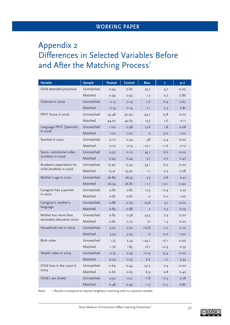# Appendix 2 Differences in Selected Variables Before and After the Matching Process'

| Variable                                         | <b>Sample</b> | <b>Treated</b> | <b>Control</b> | <b>Bias</b>    | t      | p>t  |
|--------------------------------------------------|---------------|----------------|----------------|----------------|--------|------|
| Child attended preschool                         | Unmatched     | 0.94           | 0.82           | 35.2           | 4.7    | 0.00 |
|                                                  | Matched       | 0.94           | 0.93           | 1.2            | O.2    | 0.86 |
| Violence in 2009                                 | Unmatched     | 0.15           | 0.14           | 2.7            | O.4    | 0.67 |
|                                                  | Matched       | 0.14           | 0.14           | 2.1            | O.3    | 0.81 |
| PPVT Score in 2006                               | Unmatched     | 45.48          | 30.90          | 94.7           | 13.8   | 0.00 |
|                                                  | Matched       | 44.70          | 42.63          | 13.5           | 1.6    | 0.11 |
| Language PPVT (Spanish)<br>in 2006               | Unmatched     | 1.00           | 0.98           | 13.6           | 1.8    | 0.08 |
|                                                  | Matched       | 1.00           | 1.00           | $\circ$        | O.O    | 1.00 |
| Stunted in 2002                                  | Unmatched     | 0.10           | 0.24           | -38            | $-5.4$ | 0.00 |
|                                                  | Matched       | 0.10           | 0.15           | $-12.1$        | $-1.6$ | 0.12 |
| Socio—emotional index<br>(mother) in 2006        | Unmatched     | 0.50           | 0.10           | 45.1           | 6.6    | 0.00 |
|                                                  | Matched       | 0.49           | 0.44           | 5.7            | O.7    | 0.47 |
| Academic expectation for                         | Unmatched     | 15.90          | 15.34          | 54.1           | 6.9    | 0.00 |
| child (mother) in 2006                           | Matched       | 15.91          | 15.90          | 1.1            | O.3    | 0.78 |
| Mother's age in 2002                             | Unmatched     | 26.89          | 26.55          | 5.5            | 0.8    | 0.41 |
|                                                  | Matched       | 26.74          | 26.81          | $-1.1$         | $-0.1$ | 0.90 |
| Caregiver has a partner                          | Unmatched     | 0.87           | 0.87           | $-2.3$         | $-0.4$ | 0.73 |
| in 2002                                          | Matched       | 0.87           | 0.87           | $\circ$        | O.O    | 1.00 |
| Caregiver's mother's                             | Unmatched     | 0.88           | 0.79           | 25.8           | 3.7    | 0.00 |
| language                                         | Matched       | 0.89           | 0.88           | $\overline{2}$ | O.3    | 0.79 |
| Mother has more than<br>secondary education 2002 | Unmatched     | 0.82           | 0.58           | 54.5           | 7.9    | 0.00 |
|                                                  | Matched       | 0.82           | 0.77           | 10             | 1.3    | 0.20 |
| Household size in 2009                           | Unmatched     | 5.02           | 5.22           | $-10.8$        | $-1.7$ | 0.10 |
|                                                  | Matched       | 5.03           | 5.03           | $\circ$        | O.O    | 1.00 |
| Birth order                                      | Unmatched     | 1.75           | 2.34           | $-43.1$        | $-6.1$ | 0.00 |
|                                                  | Matched       | 1.76           | 1.85           | $-6.1$         | $-0.9$ | 0.39 |
| Wealth index in 2009                             | Unmatched     | 0.75           | 0.59           | 111.9          | 15.4   | 0.00 |
|                                                  | Matched       | 0.74           | 0.73           | 6.2            | 1.0    | 0.33 |
| Child lives in the coast in<br>2009              | Unmatched     | 0.69           | 0.44           | 52.2           | 7.9    | 0.00 |
|                                                  | Matched       | 0.66           | 0.63           | 6.9            | 0.8    | 0.42 |
| Child's sex (male)                               | Unmatched     | 0.50           | 0.51           | $-1.8$         | $-0.3$ | 0.78 |
|                                                  | Matched       | 0.48           | 0.49           | $-1.5$         | $-0.2$ | 0.86 |

Note: 1: Results correspond to nearest neighbour matching with no outcome variable.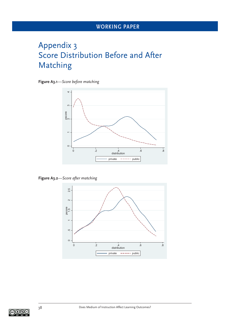# Appendix 3 Score Distribution Before and After Matching

**Figure A3.1***—Score before matching*